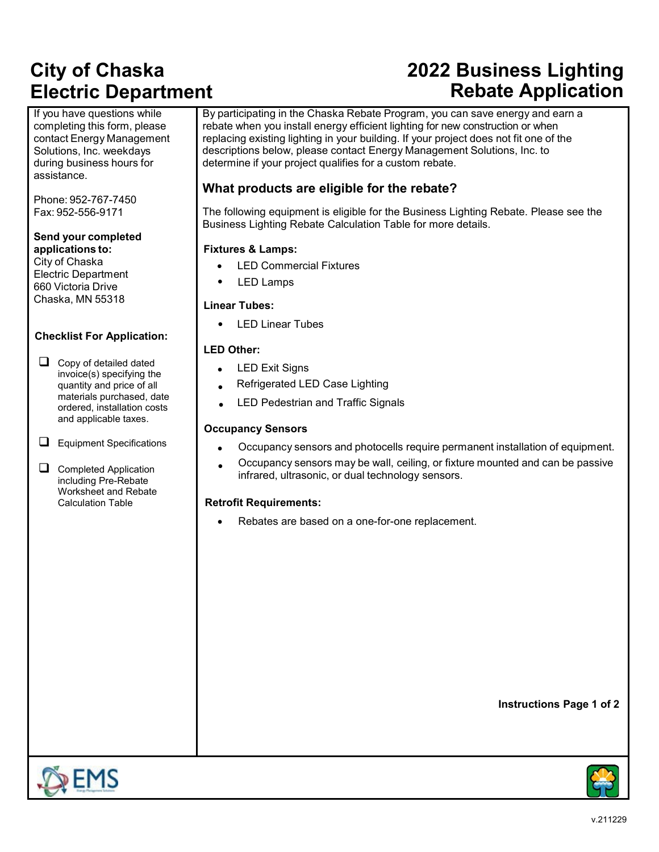# **City of Chaska Electric Department**

If you have questions while completing this form, please contact Energy Management Solutions, Inc. weekdays during business hours for assistance.

Phone: 952-767-7450 Fax: 952-556-9171

#### **Send your completed applications to:**

City of Chaska Electric Department 660 Victoria Drive Chaska, MN 55318

#### **Checklist For Application:**

 $\Box$  Copy of detailed dated invoice(s) specifying the quantity and price of all materials purchased, date ordered, installation costs and applicable taxes.

 $\Box$  Equipment Specifications

Completed Application including Pre-Rebate Worksheet and Rebate Calculation Table

# **2022 Business Lighting Rebate Application**

By participating in the Chaska Rebate Program, you can save energy and earn a rebate when you install energy efficient lighting for new construction or when replacing existing lighting in your building. If your project does not fit one of the descriptions below, please contact Energy Management Solutions, Inc. to determine if your project qualifies for a custom rebate.

### **What products are eligible for the rebate?**

The following equipment is eligible for the Business Lighting Rebate. Please see the Business Lighting Rebate Calculation Table for more details.

#### **Fixtures & Lamps:**

- **LED Commercial Fixtures**
- LED Lamps

#### **Linear Tubes:**

• LED Linear Tubes

#### **LED Other:**

- **LED Exit Signs**
- Refrigerated LED Case Lighting
- LED Pedestrian and Traffic Signals

#### **Occupancy Sensors**

- Occupancy sensors and photocells require permanent installation of equipment.
- Occupancy sensors may be wall, ceiling, or fixture mounted and can be passive infrared, ultrasonic, or dual technology sensors.

#### **Retrofit Requirements:**

Rebates are based on a one-for-one replacement.

**Instructions Page 1 of 2**

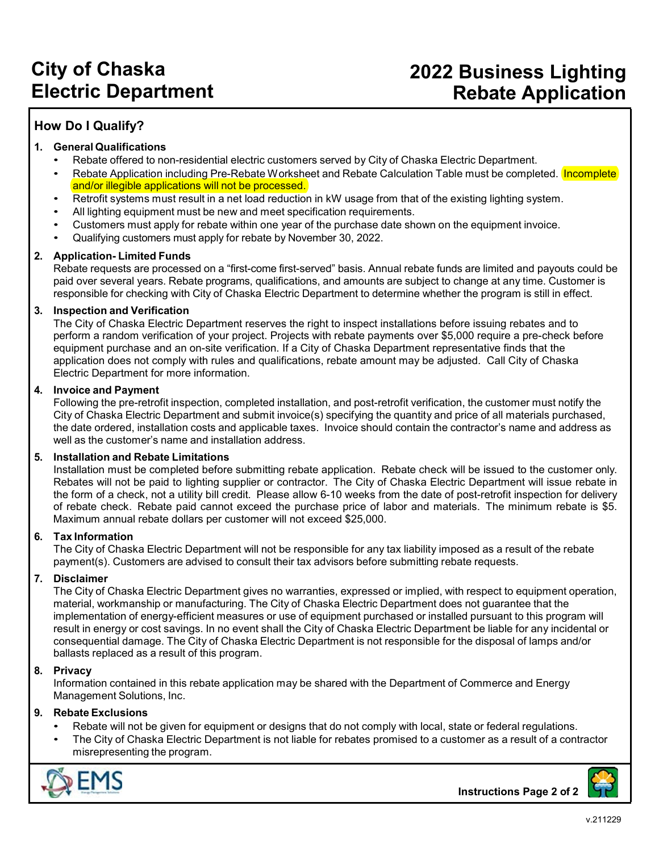### **City of Chaska Electric Department**

### **2022 Business Lighting Rebate Application**

### **How Do I Qualify?**

#### **1. General Qualifications**

- Rebate offered to non-residential electric customers served by City of Chaska Electric Department.
- Rebate Application including Pre-Rebate Worksheet and Rebate Calculation Table must be completed. Incomplete and/or illegible applications will not be processed.
- Retrofit systems must result in a net load reduction in kW usage from that of the existing lighting system.
- All lighting equipment must be new and meet specification requirements.
- Customers must apply for rebate within one year of the purchase date shown on the equipment invoice.
- Qualifying customers must apply for rebate by November 30, 2022.

#### **2. Application- Limited Funds**

Rebate requests are processed on a "first-come first-served" basis. Annual rebate funds are limited and payouts could be paid over several years. Rebate programs, qualifications, and amounts are subject to change at any time. Customer is responsible for checking with City of Chaska Electric Department to determine whether the program is still in effect.

#### **3. Inspection and Verification**

The City of Chaska Electric Department reserves the right to inspect installations before issuing rebates and to perform a random verification of your project. Projects with rebate payments over \$5,000 require a pre-check before equipment purchase and an on-site verification. If a City of Chaska Department representative finds that the application does not comply with rules and qualifications, rebate amount may be adjusted. Call City of Chaska Electric Department for more information.

#### **4. Invoice and Payment**

Following the pre-retrofit inspection, completed installation, and post-retrofit verification, the customer must notify the City of Chaska Electric Department and submit invoice(s) specifying the quantity and price of all materials purchased, the date ordered, installation costs and applicable taxes. Invoice should contain the contractor's name and address as well as the customer's name and installation address.

#### **5. Installation and Rebate Limitations**

Installation must be completed before submitting rebate application. Rebate check will be issued to the customer only. Rebates will not be paid to lighting supplier or contractor. The City of Chaska Electric Department will issue rebate in the form of a check, not a utility bill credit. Please allow 6-10 weeks from the date of post-retrofit inspection for delivery of rebate check. Rebate paid cannot exceed the purchase price of labor and materials. The minimum rebate is \$5. Maximum annual rebate dollars per customer will not exceed \$25,000.

#### **6. Tax Information**

The City of Chaska Electric Department will not be responsible for any tax liability imposed as a result of the rebate payment(s). Customers are advised to consult their tax advisors before submitting rebate requests.

#### **7. Disclaimer**

The City of Chaska Electric Department gives no warranties, expressed or implied, with respect to equipment operation, material, workmanship or manufacturing. The City of Chaska Electric Department does not guarantee that the implementation of energy-efficient measures or use of equipment purchased or installed pursuant to this program will result in energy or cost savings. In no event shall the City of Chaska Electric Department be liable for any incidental or consequential damage. The City of Chaska Electric Department is not responsible for the disposal of lamps and/or ballasts replaced as a result of this program.

#### **8. Privacy**

Information contained in this rebate application may be shared with the Department of Commerce and Energy Management Solutions, Inc.

#### **9. Rebate Exclusions**

- Rebate will not be given for equipment or designs that do not comply with local, state or federal regulations.
- The City of Chaska Electric Department is not liable for rebates promised to a customer as a result of a contractor misrepresenting the program.



**Instructions Page 2 of 2**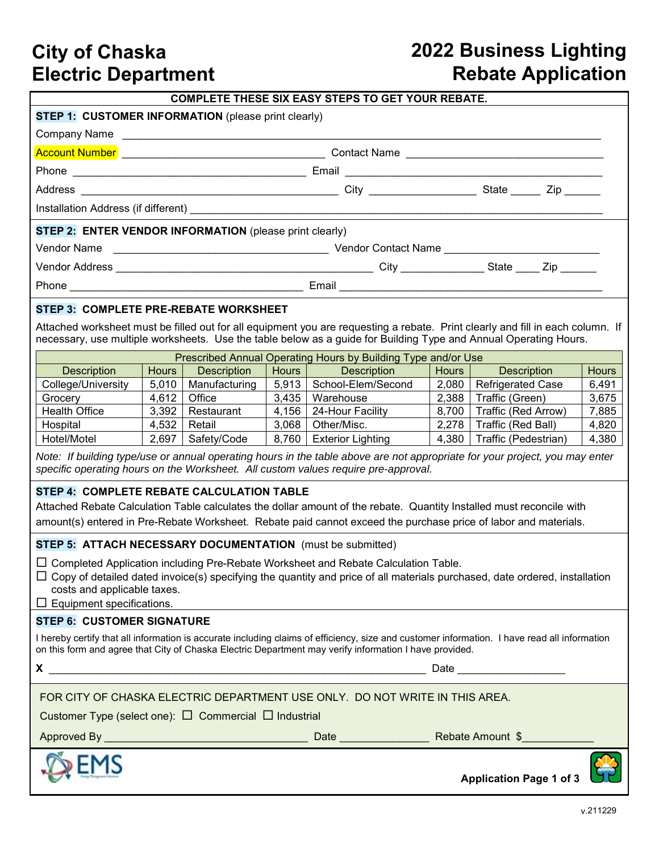### **City of Chaska Electric Department**

# **2022 Business Lighting Rebate Application**

| <b>COMPLETE THESE SIX EASY STEPS TO GET YOUR REBATE.</b>                                                                                                                                                                                               |       |                       |       |                                                                                                                      |       |                           |              |  |  |  |
|--------------------------------------------------------------------------------------------------------------------------------------------------------------------------------------------------------------------------------------------------------|-------|-----------------------|-------|----------------------------------------------------------------------------------------------------------------------|-------|---------------------------|--------------|--|--|--|
| <b>STEP 1: CUSTOMER INFORMATION</b> (please print clearly)                                                                                                                                                                                             |       |                       |       |                                                                                                                      |       |                           |              |  |  |  |
|                                                                                                                                                                                                                                                        |       |                       |       |                                                                                                                      |       |                           |              |  |  |  |
|                                                                                                                                                                                                                                                        |       |                       |       |                                                                                                                      |       |                           |              |  |  |  |
|                                                                                                                                                                                                                                                        |       |                       |       |                                                                                                                      |       |                           |              |  |  |  |
|                                                                                                                                                                                                                                                        |       |                       |       |                                                                                                                      |       |                           |              |  |  |  |
|                                                                                                                                                                                                                                                        |       |                       |       |                                                                                                                      |       |                           |              |  |  |  |
| STEP 2: ENTER VENDOR INFORMATION (please print clearly)                                                                                                                                                                                                |       |                       |       |                                                                                                                      |       |                           |              |  |  |  |
| Vendor Name                                                                                                                                                                                                                                            |       |                       |       |                                                                                                                      |       |                           |              |  |  |  |
|                                                                                                                                                                                                                                                        |       |                       |       |                                                                                                                      |       |                           |              |  |  |  |
|                                                                                                                                                                                                                                                        |       |                       |       |                                                                                                                      |       |                           |              |  |  |  |
|                                                                                                                                                                                                                                                        |       |                       |       |                                                                                                                      |       |                           |              |  |  |  |
| STEP 3: COMPLETE PRE-REBATE WORKSHEET                                                                                                                                                                                                                  |       |                       |       |                                                                                                                      |       |                           |              |  |  |  |
| Attached worksheet must be filled out for all equipment you are requesting a rebate. Print clearly and fill in each column. If<br>necessary, use multiple worksheets. Use the table below as a guide for Building Type and Annual Operating Hours.     |       |                       |       |                                                                                                                      |       |                           |              |  |  |  |
| Prescribed Annual Operating Hours by Building Type and/or Use                                                                                                                                                                                          |       |                       |       |                                                                                                                      |       |                           |              |  |  |  |
| <b>Description</b>                                                                                                                                                                                                                                     | Hours | <b>Description</b>    | Hours | <b>Description</b>                                                                                                   | Hours | <b>Description</b>        | <b>Hours</b> |  |  |  |
| College/University                                                                                                                                                                                                                                     |       | 5,010   Manufacturing |       | 5,913   School-Elem/Second                                                                                           |       | 2,080   Refrigerated Case | 6,491        |  |  |  |
| Grocery                                                                                                                                                                                                                                                | 4,612 | Office                |       | 3,435   Warehouse                                                                                                    | 2,388 | Traffic (Green)           | 3,675        |  |  |  |
| <b>Health Office</b>                                                                                                                                                                                                                                   | 3,392 | Restaurant            | 4,156 | 24-Hour Facility                                                                                                     | 8,700 | Traffic (Red Arrow)       | 7,885        |  |  |  |
| Hospital                                                                                                                                                                                                                                               | 4,532 | Retail                | 3,068 | Other/Misc.                                                                                                          | 2,278 | Traffic (Red Ball)        | 4,820        |  |  |  |
| Hotel/Motel                                                                                                                                                                                                                                            | 2,697 | Safety/Code           | 8,760 | Exterior Lighting                                                                                                    | 4,380 | Traffic (Pedestrian)      | 4,380        |  |  |  |
| Note: If building type/use or annual operating hours in the table above are not appropriate for your project, you may enter<br>specific operating hours on the Worksheet. All custom values require pre-approval.                                      |       |                       |       |                                                                                                                      |       |                           |              |  |  |  |
| STEP 4: COMPLETE REBATE CALCULATION TABLE                                                                                                                                                                                                              |       |                       |       |                                                                                                                      |       |                           |              |  |  |  |
|                                                                                                                                                                                                                                                        |       |                       |       | Attached Rebate Calculation Table calculates the dollar amount of the rebate. Quantity Installed must reconcile with |       |                           |              |  |  |  |
| amount(s) entered in Pre-Rebate Worksheet. Rebate paid cannot exceed the purchase price of labor and materials.                                                                                                                                        |       |                       |       |                                                                                                                      |       |                           |              |  |  |  |
| STEP 5: ATTACH NECESSARY DOCUMENTATION (must be submitted)                                                                                                                                                                                             |       |                       |       |                                                                                                                      |       |                           |              |  |  |  |
|                                                                                                                                                                                                                                                        |       |                       |       | $\Box$ Completed Application including Pre-Rebate Worksheet and Rebate Calculation Table.                            |       |                           |              |  |  |  |
| $\Box$ Copy of detailed dated invoice(s) specifying the quantity and price of all materials purchased, date ordered, installation                                                                                                                      |       |                       |       |                                                                                                                      |       |                           |              |  |  |  |
| costs and applicable taxes.<br>$\Box$ Equipment specifications.                                                                                                                                                                                        |       |                       |       |                                                                                                                      |       |                           |              |  |  |  |
| <b>STEP 6: CUSTOMER SIGNATURE</b>                                                                                                                                                                                                                      |       |                       |       |                                                                                                                      |       |                           |              |  |  |  |
|                                                                                                                                                                                                                                                        |       |                       |       |                                                                                                                      |       |                           |              |  |  |  |
| I hereby certify that all information is accurate including claims of efficiency, size and customer information. I have read all information<br>on this form and agree that City of Chaska Electric Department may verify information I have provided. |       |                       |       |                                                                                                                      |       |                           |              |  |  |  |
|                                                                                                                                                                                                                                                        |       |                       |       |                                                                                                                      |       |                           |              |  |  |  |
| FOR CITY OF CHASKA ELECTRIC DEPARTMENT USE ONLY. DO NOT WRITE IN THIS AREA.                                                                                                                                                                            |       |                       |       |                                                                                                                      |       |                           |              |  |  |  |
| Customer Type (select one): $\Box$ Commercial $\Box$ Industrial                                                                                                                                                                                        |       |                       |       |                                                                                                                      |       |                           |              |  |  |  |
|                                                                                                                                                                                                                                                        |       |                       |       |                                                                                                                      |       |                           |              |  |  |  |
| <b>Application Page 1 of 3</b>                                                                                                                                                                                                                         |       |                       |       |                                                                                                                      |       |                           |              |  |  |  |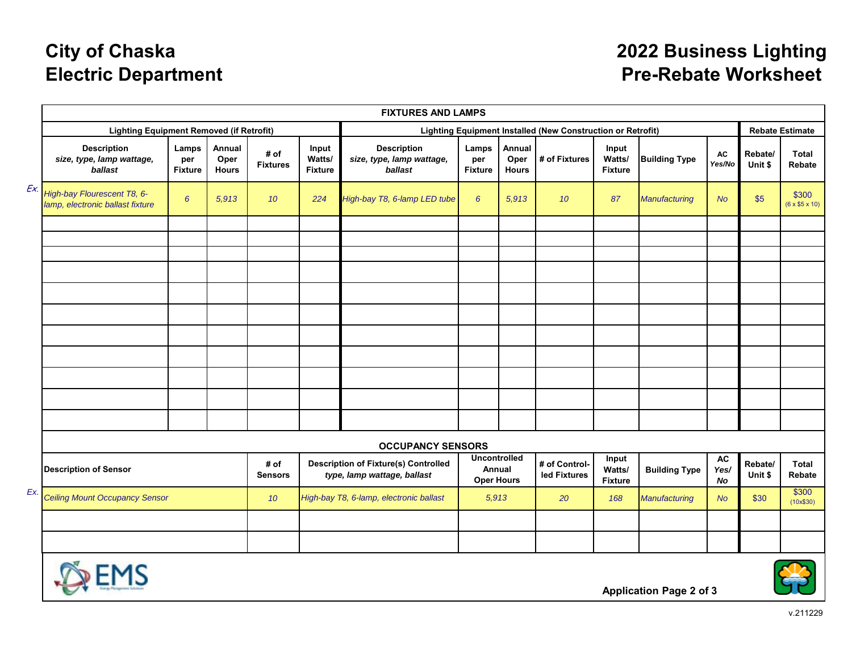# **City of Chaska Electric Department**

### **2022 Business Lighting Pre-Rebate Worksheet**

|     | <b>FIXTURES AND LAMPS</b>                                       |                                |                                |                                                                            |                                                             |                                                            |                                |                                |                                   |                                   |                                |                     |                        |                                    |
|-----|-----------------------------------------------------------------|--------------------------------|--------------------------------|----------------------------------------------------------------------------|-------------------------------------------------------------|------------------------------------------------------------|--------------------------------|--------------------------------|-----------------------------------|-----------------------------------|--------------------------------|---------------------|------------------------|------------------------------------|
|     | <b>Lighting Equipment Removed (if Retrofit)</b>                 |                                |                                |                                                                            | Lighting Equipment Installed (New Construction or Retrofit) |                                                            |                                |                                |                                   |                                   | <b>Rebate Estimate</b>         |                     |                        |                                    |
|     | <b>Description</b><br>size, type, lamp wattage,<br>ballast      | Lamps<br>per<br><b>Fixture</b> | Annual<br>Oper<br><b>Hours</b> | # of<br><b>Fixtures</b>                                                    | Input<br>Watts/<br><b>Fixture</b>                           | <b>Description</b><br>size, type, lamp wattage,<br>ballast | Lamps<br>per<br><b>Fixture</b> | Annual<br>Oper<br><b>Hours</b> | # of Fixtures                     | Input<br>Watts/<br><b>Fixture</b> | <b>Building Type</b>           | <b>AC</b><br>Yes/No | Rebate/<br>Unit \$     | <b>Total</b><br>Rebate             |
| Ex. | High-bay Flourescent T8, 6-<br>lamp, electronic ballast fixture | 6                              | 5,913                          | 10 <sup>10</sup>                                                           | 224                                                         | High-bay T8, 6-lamp LED tube                               | 6                              | 5,913                          | 10 <sup>1</sup>                   | 87                                | Manufacturing                  | <b>No</b>           | \$5                    | \$300<br>$(6 \times $5 \times 10)$ |
|     |                                                                 |                                |                                |                                                                            |                                                             |                                                            |                                |                                |                                   |                                   |                                |                     |                        |                                    |
|     |                                                                 |                                |                                |                                                                            |                                                             |                                                            |                                |                                |                                   |                                   |                                |                     |                        |                                    |
|     |                                                                 |                                |                                |                                                                            |                                                             |                                                            |                                |                                |                                   |                                   |                                |                     |                        |                                    |
|     |                                                                 |                                |                                |                                                                            |                                                             |                                                            |                                |                                |                                   |                                   |                                |                     |                        |                                    |
|     |                                                                 |                                |                                |                                                                            |                                                             |                                                            |                                |                                |                                   |                                   |                                |                     |                        |                                    |
|     |                                                                 |                                |                                |                                                                            |                                                             |                                                            |                                |                                |                                   |                                   |                                |                     |                        |                                    |
|     |                                                                 |                                |                                |                                                                            |                                                             |                                                            |                                |                                |                                   |                                   |                                |                     |                        |                                    |
|     |                                                                 |                                |                                |                                                                            |                                                             |                                                            |                                |                                |                                   |                                   |                                |                     |                        |                                    |
|     |                                                                 |                                |                                |                                                                            |                                                             |                                                            |                                |                                |                                   |                                   |                                |                     |                        |                                    |
|     |                                                                 |                                |                                |                                                                            |                                                             |                                                            |                                |                                |                                   |                                   |                                |                     |                        |                                    |
|     | <b>OCCUPANCY SENSORS</b>                                        |                                |                                |                                                                            |                                                             |                                                            |                                |                                |                                   |                                   |                                |                     |                        |                                    |
|     | # of<br><b>Description of Sensor</b><br><b>Sensors</b>          |                                |                                | <b>Description of Fixture(s) Controlled</b><br>type, lamp wattage, ballast |                                                             | <b>Uncontrolled</b><br>Annual<br><b>Oper Hours</b>         |                                | # of Control-<br>led Fixtures  | Input<br>Watts/<br><b>Fixture</b> | <b>Building Type</b>              | <b>AC</b><br>Yes/<br><b>No</b> | Rebate/<br>Unit \$  | <b>Total</b><br>Rebate |                                    |
| Ex. | <b>Ceiling Mount Occupancy Sensor</b>                           |                                | 10 <sup>10</sup>               | High-bay T8, 6-lamp, electronic ballast                                    |                                                             | 5,913                                                      |                                | 20                             | 168                               | Manufacturing                     | <b>No</b>                      | \$30                | \$300<br>(10x\$30)     |                                    |
|     |                                                                 |                                |                                |                                                                            |                                                             |                                                            |                                |                                |                                   |                                   |                                |                     |                        |                                    |
|     |                                                                 |                                |                                |                                                                            |                                                             |                                                            |                                |                                |                                   |                                   |                                |                     |                        |                                    |



**Application Page 2 of 3**